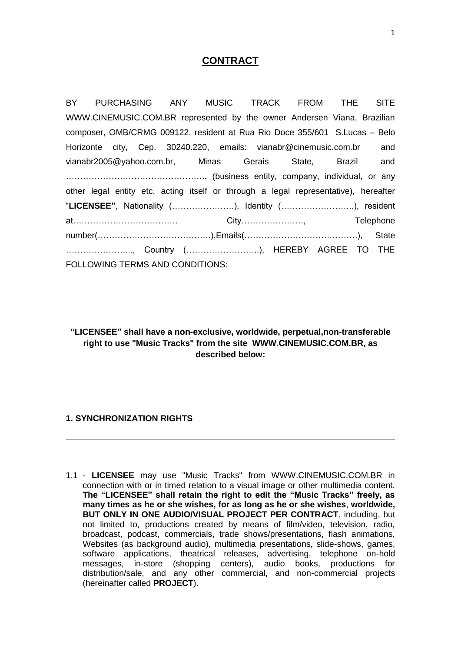# **CONTRACT**

BY PURCHASING ANY MUSIC TRACK FROM THE SITE WWW.CINEMUSIC.COM.BR represented by the owner Andersen Viana, Brazilian composer, OMB/CRMG 009122, resident at Rua Rio Doce 355/601 S.Lucas – Belo Horizonte city, Cep. 30240.220, emails: vianabr@cinemusic.com.br and vianabr2005@yahoo.com.br, Minas Gerais State, Brazil and ………………………………………….. (business entity, company, individual, or any other legal entity etc, acting itself or through a legal representative), hereafter "**LICENSEE"**, Nationality (………………….), Identity (……………………..), resident at………………………………. City…………………., Telephone number(………………………………….),Emails(………………………………….), State …………………..., Country (……………………..), HEREBY AGREE TO THE FOLLOWING TERMS AND CONDITIONS:

**"LICENSEE" shall have a non-exclusive, worldwide, perpetual,non-transferable right to use "Music Tracks" from the site WWW.CINEMUSIC.COM.BR, as described below:**

#### **1. SYNCHRONIZATION RIGHTS**

1.1 - **LICENSEE** may use "Music Tracks" from WWW.CINEMUSIC.COM.BR in connection with or in timed relation to a visual image or other multimedia content. **The "LICENSEE" shall retain the right to edit the "Music Tracks" freely, as many times as he or she wishes, for as long as he or she wishes**, **worldwide, BUT ONLY IN ONE AUDIO/VISUAL PROJECT PER CONTRACT**, including, but not limited to, productions created by means of film/video, television, radio, broadcast, podcast, commercials, trade shows/presentations, flash animations, Websites (as background audio), multimedia presentations, slide-shows, games, software applications, theatrical releases, advertising, telephone on-hold messages, in-store (shopping centers), audio books, productions for distribution/sale, and any other commercial, and non-commercial projects (hereinafter called **PROJECT**).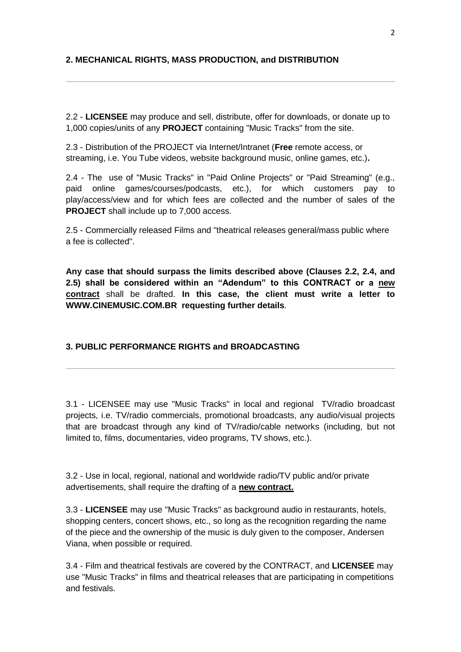# **2. MECHANICAL RIGHTS, MASS PRODUCTION, and DISTRIBUTION**

2.2 - **LICENSEE** may produce and sell, distribute, offer for downloads, or donate up to 1,000 copies/units of any **PROJECT** containing "Music Tracks" from the site.

2.3 - Distribution of the PROJECT via Internet/Intranet (**Free** remote access, or streaming, i.e. You Tube videos, website background music, online games, etc.)**.**

2.4 - The use of "Music Tracks" in "Paid Online Projects" or "Paid Streaming" (e.g., paid online games/courses/podcasts, etc.), for which customers pay to play/access/view and for which fees are collected and the number of sales of the **PROJECT** shall include up to 7,000 access.

2.5 - Commercially released Films and "theatrical releases general/mass public where a fee is collected".

**Any case that should surpass the limits described above (Clauses 2.2, 2.4, and 2.5) shall be considered within an "Adendum" to this CONTRACT or a new contract** shall be drafted. **In this case, the client must write a letter to WWW.CINEMUSIC.COM.BR requesting further details***.*

# **3. PUBLIC PERFORMANCE RIGHTS and BROADCASTING**

3.1 - LICENSEE may use "Music Tracks" in local and regional TV/radio broadcast projects, i.e. TV/radio commercials, promotional broadcasts, any audio/visual projects that are broadcast through any kind of TV/radio/cable networks (including, but not limited to, films, documentaries, video programs, TV shows, etc.).

3.2 - Use in local, regional, national and worldwide radio/TV public and/or private advertisements, shall require the drafting of a **new contract.**

3.3 - **LICENSEE** may use "Music Tracks" as background audio in restaurants, hotels, shopping centers, concert shows, etc., so long as the recognition regarding the name of the piece and the ownership of the music is duly given to the composer, Andersen Viana, when possible or required.

3.4 - Film and theatrical festivals are covered by the CONTRACT, and **LICENSEE** may use "Music Tracks" in films and theatrical releases that are participating in competitions and festivals.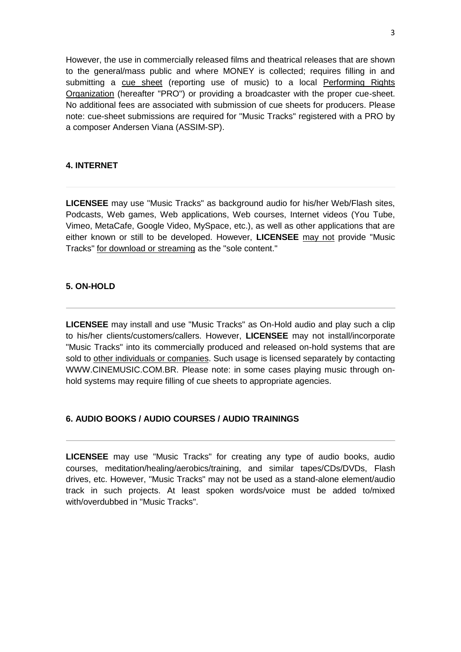However, the use in commercially released films and theatrical releases that are shown to the general/mass public and where MONEY is collected; requires filling in and submitting a [cue sheet](http://www.neosounds.com/?mod=info&modfile=cue_sheet) (reporting use of music) to a local [Performing Rights](http://www.neosounds.com/?mod=info&modfile=cue_sheet)  [Organization](http://www.neosounds.com/?mod=info&modfile=cue_sheet) (hereafter "PRO") or providing a broadcaster with the proper cue-sheet. No additional fees are associated with submission of cue sheets for producers. Please note: cue-sheet submissions are required for "Music Tracks" registered with a PRO by a composer Andersen Viana (ASSIM-SP).

# **4. INTERNET**

**LICENSEE** may use "Music Tracks" as background audio for his/her Web/Flash sites, Podcasts, Web games, Web applications, Web courses, Internet videos (You Tube, Vimeo, MetaCafe, Google Video, MySpace, etc.), as well as other applications that are either known or still to be developed. However, **LICENSEE** may not provide "Music Tracks" for download or streaming as the "sole content."

### **5. ON-HOLD**

**LICENSEE** may install and use "Music Tracks" as On-Hold audio and play such a clip to his/her clients/customers/callers. However, **LICENSEE** may not install/incorporate "Music Tracks" into its commercially produced and released on-hold systems that are sold to other individuals or companies. Such usage is licensed separately by contacting WWW.CINEMUSIC.COM.BR. Please note: in some cases playing music through onhold systems may require filling of cue sheets to appropriate agencies.

# **6. AUDIO BOOKS / AUDIO COURSES / AUDIO TRAININGS**

**LICENSEE** may use "Music Tracks" for creating any type of audio books, audio courses, meditation/healing/aerobics/training, and similar tapes/CDs/DVDs, Flash drives, etc. However, "Music Tracks" may not be used as a stand-alone element/audio track in such projects. At least spoken words/voice must be added to/mixed with/overdubbed in "Music Tracks".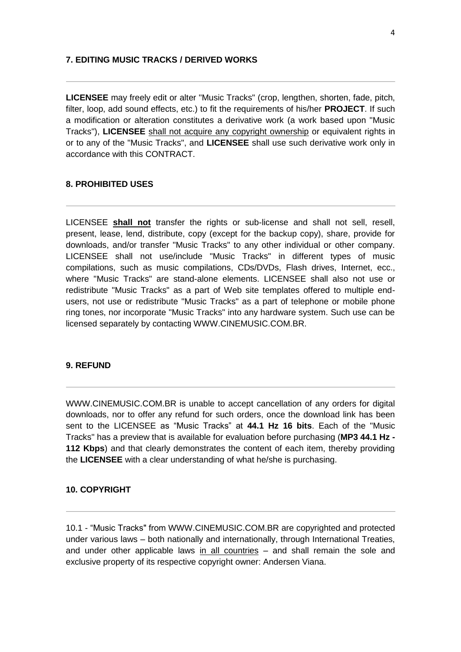#### **7. EDITING MUSIC TRACKS / DERIVED WORKS**

**LICENSEE** may freely edit or alter "Music Tracks" (crop, lengthen, shorten, fade, pitch, filter, loop, add sound effects, etc.) to fit the requirements of his/her **PROJECT**. If such a modification or alteration constitutes a derivative work (a work based upon "Music Tracks"), **LICENSEE** shall not acquire any copyright ownership or equivalent rights in or to any of the "Music Tracks", and **LICENSEE** shall use such derivative work only in accordance with this CONTRACT.

#### **8. PROHIBITED USES**

LICENSEE **shall not** transfer the rights or sub-license and shall not sell, resell, present, lease, lend, distribute, copy (except for the backup copy), share, provide for downloads, and/or transfer "Music Tracks" to any other individual or other company. LICENSEE shall not use/include "Music Tracks" in different types of music compilations, such as music compilations, CDs/DVDs, Flash drives, Internet, ecc., where "Music Tracks" are stand-alone elements. LICENSEE shall also not use or redistribute "Music Tracks" as a part of Web site templates offered to multiple endusers, not use or redistribute "Music Tracks" as a part of telephone or mobile phone ring tones, nor incorporate "Music Tracks" into any hardware system. Such use can be licensed separately by contacting WWW.CINEMUSIC.COM.BR.

#### **9. REFUND**

WWW.CINEMUSIC.COM.BR is unable to accept cancellation of any orders for digital downloads, nor to offer any refund for such orders, once the download link has been sent to the LICENSEE as "Music Tracks" at **44.1 Hz 16 bits**. Each of the "Music Tracks" has a preview that is available for evaluation before purchasing (**MP3 44.1 Hz - 112 Kbps**) and that clearly demonstrates the content of each item, thereby providing the **LICENSEE** with a clear understanding of what he/she is purchasing.

# **10. COPYRIGHT**

10.1 - "Music Tracks" from WWW.CINEMUSIC.COM.BR are copyrighted and protected under various laws – both nationally and internationally, through International Treaties, and under other applicable laws in all countries – and shall remain the sole and exclusive property of its respective copyright owner: Andersen Viana.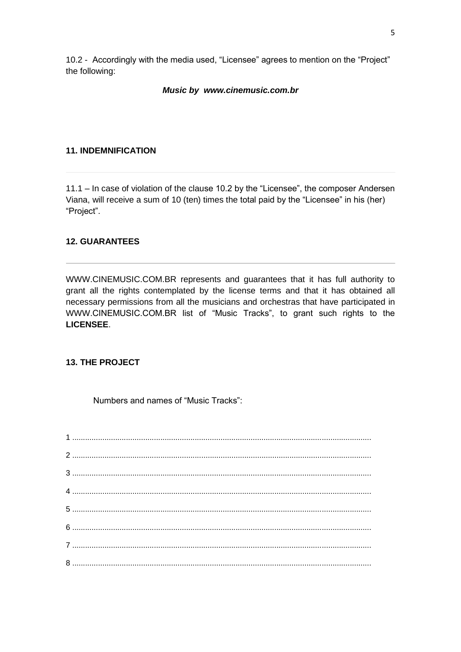10.2 - Accordingly with the media used, "Licensee" agrees to mention on the "Project" the following:

## *Music by [www.cinemusic.com.br](http://www.cinemusic.com.br/)*

### **11. INDEMNIFICATION**

11.1 – In case of violation of the clause 10.2 by the "Licensee", the composer Andersen Viana, will receive a sum of 10 (ten) times the total paid by the "Licensee" in his (her) "Project".

# **12. GUARANTEES**

WWW.CINEMUSIC.COM.BR represents and guarantees that it has full authority to grant all the rights contemplated by the license terms and that it has obtained all necessary permissions from all the musicians and orchestras that have participated in WWW.CINEMUSIC.COM.BR list of "Music Tracks", to grant such rights to the **LICENSEE**.

## **13. THE PROJECT**

Numbers and names of "Music Tracks":

1 ........................................................................................................................................... 2 ........................................................................................................................................... 3 ........................................................................................................................................... 4 ........................................................................................................................................... 5 ........................................................................................................................................... 6 ........................................................................................................................................... 7 ........................................................................................................................................... 8 ...........................................................................................................................................